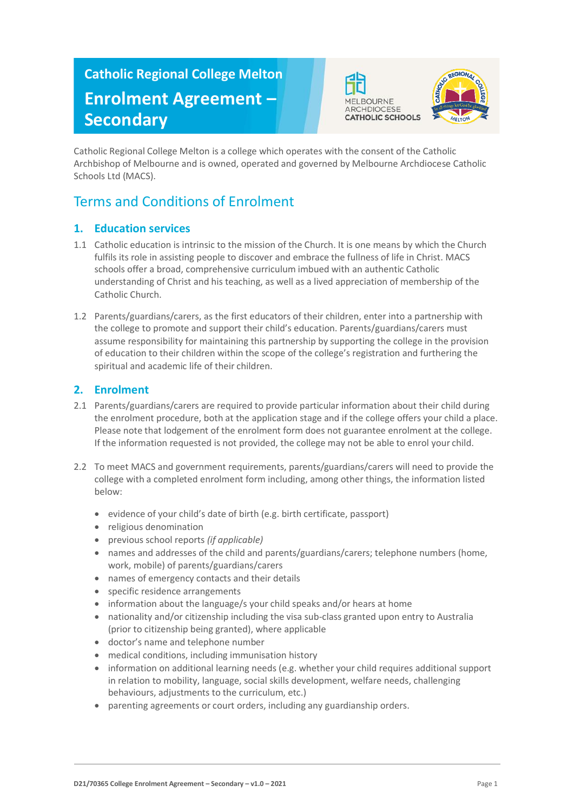# **Catholic Regional College Melton Enrolment Agreement – Secondary**





Catholic Regional College Melton is a college which operates with the consent of the Catholic Archbishop of Melbourne and is owned, operated and governed by Melbourne Archdiocese Catholic Schools Ltd (MACS).

# Terms and Conditions of Enrolment

# **1. Education services**

- 1.1 Catholic education is intrinsic to the mission of the Church. It is one means by which the Church fulfils its role in assisting people to discover and embrace the fullness of life in Christ. MACS schools offer a broad, comprehensive curriculum imbued with an authentic Catholic understanding of Christ and his teaching, as well as a lived appreciation of membership of the Catholic Church.
- 1.2 Parents/guardians/carers, as the first educators of their children, enter into a partnership with the college to promote and support their child's education. Parents/guardians/carers must assume responsibility for maintaining this partnership by supporting the college in the provision of education to their children within the scope of the college's registration and furthering the spiritual and academic life of their children.

# **2. Enrolment**

- 2.1 Parents/guardians/carers are required to provide particular information about their child during the enrolment procedure, both at the application stage and if the college offers your child a place. Please note that lodgement of the enrolment form does not guarantee enrolment at the college. If the information requested is not provided, the college may not be able to enrol your child.
- 2.2 To meet MACS and government requirements, parents/guardians/carers will need to provide the college with a completed enrolment form including, among other things, the information listed below:
	- evidence of your child's date of birth (e.g. birth certificate, passport)
	- religious denomination
	- previous school reports *(if applicable)*
	- names and addresses of the child and parents/guardians/carers; telephone numbers (home, work, mobile) of parents/guardians/carers
	- names of emergency contacts and their details
	- specific residence arrangements
	- information about the language/s your child speaks and/or hears at home
	- nationality and/or citizenship including the visa sub-class granted upon entry to Australia (prior to citizenship being granted), where applicable
	- doctor's name and telephone number
	- medical conditions, including immunisation history
	- information on additional learning needs (e.g. whether your child requires additional support in relation to mobility, language, social skills development, welfare needs, challenging behaviours, adjustments to the curriculum, etc.)
	- parenting agreements or court orders, including any guardianship orders.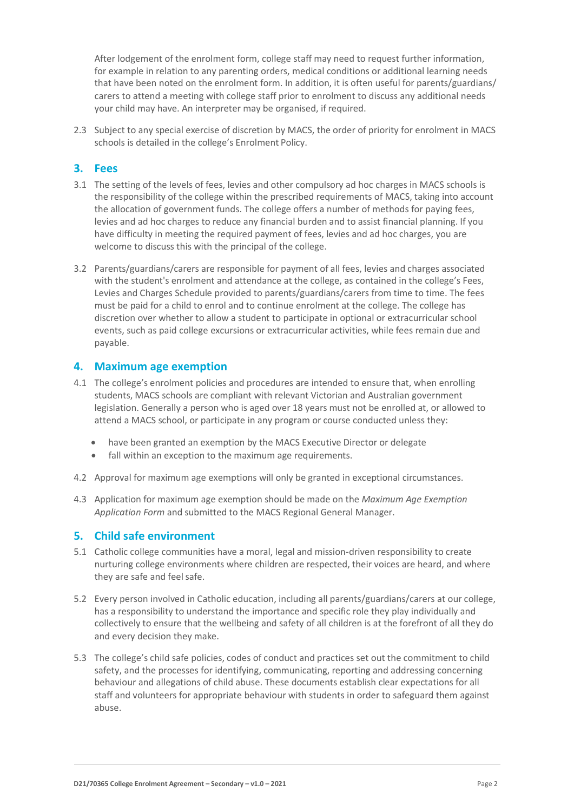After lodgement of the enrolment form, college staff may need to request further information, for example in relation to any parenting orders, medical conditions or additional learning needs that have been noted on the enrolment form. In addition, it is often useful for parents/guardians/ carers to attend a meeting with college staff prior to enrolment to discuss any additional needs your child may have. An interpreter may be organised, if required.

2.3 Subject to any special exercise of discretion by MACS, the order of priority for enrolment in MACS schools is detailed in the college's Enrolment Policy.

#### **3. Fees**

- 3.1 The setting of the levels of fees, levies and other compulsory ad hoc charges in MACS schools is the responsibility of the college within the prescribed requirements of MACS, taking into account the allocation of government funds. The college offers a number of methods for paying fees, levies and ad hoc charges to reduce any financial burden and to assist financial planning. If you have difficulty in meeting the required payment of fees, levies and ad hoc charges, you are welcome to discuss this with the principal of the college.
- 3.2 Parents/guardians/carers are responsible for payment of all fees, levies and charges associated with the student's enrolment and attendance at the college, as contained in the college's Fees, Levies and Charges Schedule provided to parents/guardians/carers from time to time. The fees must be paid for a child to enrol and to continue enrolment at the college. The college has discretion over whether to allow a student to participate in optional or extracurricular school events, such as paid college excursions or extracurricular activities, while fees remain due and payable.

#### **4. Maximum age exemption**

- 4.1 The college's enrolment policies and procedures are intended to ensure that, when enrolling students, MACS schools are compliant with relevant Victorian and Australian government legislation. Generally a person who is aged over 18 years must not be enrolled at, or allowed to attend a MACS school, or participate in any program or course conducted unless they:
	- have been granted an exemption by the MACS Executive Director or delegate
	- fall within an exception to the maximum age requirements.
- 4.2 Approval for maximum age exemptions will only be granted in exceptional circumstances.
- 4.3 Application for maximum age exemption should be made on the *Maximum Age Exemption Application Form* and submitted to the MACS Regional General Manager.

#### **5. Child safe environment**

- 5.1 Catholic college communities have a moral, legal and mission-driven responsibility to create nurturing college environments where children are respected, their voices are heard, and where they are safe and feelsafe.
- 5.2 Every person involved in Catholic education, including all parents/guardians/carers at our college, has a responsibility to understand the importance and specific role they play individually and collectively to ensure that the wellbeing and safety of all children is at the forefront of all they do and every decision they make.
- 5.3 The college's child safe policies, codes of conduct and practices set out the commitment to child safety, and the processes for identifying, communicating, reporting and addressing concerning behaviour and allegations of child abuse. These documents establish clear expectations for all staff and volunteers for appropriate behaviour with students in order to safeguard them against abuse.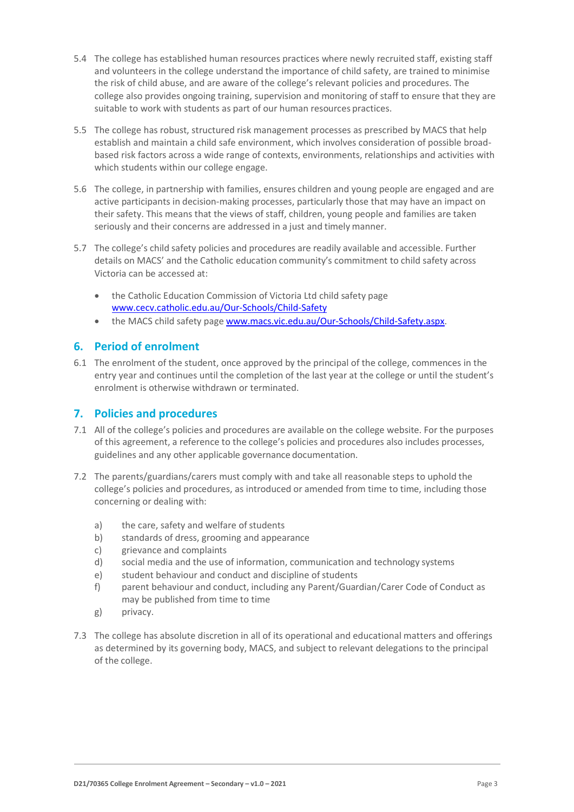- 5.4 The college has established human resources practices where newly recruited staff, existing staff and volunteers in the college understand the importance of child safety, are trained to minimise the risk of child abuse, and are aware of the college's relevant policies and procedures. The college also provides ongoing training, supervision and monitoring of staff to ensure that they are suitable to work with students as part of our human resources practices.
- 5.5 The college has robust, structured risk management processes as prescribed by MACS that help establish and maintain a child safe environment, which involves consideration of possible broadbased risk factors across a wide range of contexts, environments, relationships and activities with which students within our college engage.
- 5.6 The college, in partnership with families, ensures children and young people are engaged and are active participants in decision-making processes, particularly those that may have an impact on their safety. This means that the views of staff, children, young people and families are taken seriously and their concerns are addressed in a just and timely manner.
- 5.7 The college's child safety policies and procedures are readily available and accessible. Further details on MACS' and the Catholic education community's commitment to child safety across Victoria can be accessed at:
	- the Catholic Education Commission of Victoria Ltd child safety page [www.cecv.catholic.edu.au/Our-Schools/Child-Safety](http://www.cecv.catholic.edu.au/Our-Schools/Child-Safety)
	- the MACS child safety page [www.macs.vic.edu.au/Our-Schools/Child-Safety.aspx.](https://www.macs.vic.edu.au/Our-Schools/Child-Safety.aspx)

# **6. Period of enrolment**

6.1 The enrolment of the student, once approved by the principal of the college, commences in the entry year and continues until the completion of the last year at the college or until the student's enrolment is otherwise withdrawn or terminated.

# **7. Policies and procedures**

- 7.1 All of the college's policies and procedures are available on the college website. For the purposes of this agreement, a reference to the college's policies and procedures also includes processes, guidelines and any other applicable governance documentation.
- 7.2 The parents/guardians/carers must comply with and take all reasonable steps to uphold the college's policies and procedures, as introduced or amended from time to time, including those concerning or dealing with:
	- a) the care, safety and welfare of students
	- b) standards of dress, grooming and appearance
	- c) grievance and complaints
	- d) social media and the use of information, communication and technology systems
	- e) student behaviour and conduct and discipline of students
	- f) parent behaviour and conduct, including any Parent/Guardian/Carer Code of Conduct as may be published from time to time
	- g) privacy.
- 7.3 The college has absolute discretion in all of its operational and educational matters and offerings as determined by its governing body, MACS, and subject to relevant delegations to the principal of the college.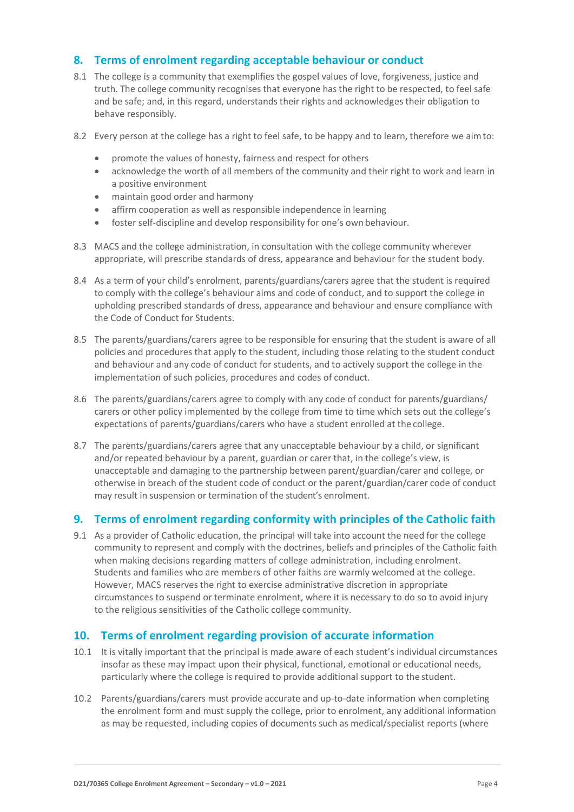### **8. Terms of enrolment regarding acceptable behaviour or conduct**

- 8.1 The college is a community that exemplifies the gospel values of love, forgiveness, justice and truth. The college community recognises that everyone has the right to be respected, to feel safe and be safe; and, in this regard, understands their rights and acknowledges their obligation to behave responsibly.
- 8.2 Every person at the college has a right to feel safe, to be happy and to learn, therefore we aimto:
	- promote the values of honesty, fairness and respect for others
	- acknowledge the worth of all members of the community and their right to work and learn in a positive environment
	- maintain good order and harmony
	- affirm cooperation as well as responsible independence in learning
	- foster self-discipline and develop responsibility for one's own behaviour.
- 8.3 MACS and the college administration, in consultation with the college community wherever appropriate, will prescribe standards of dress, appearance and behaviour for the student body.
- 8.4 As a term of your child's enrolment, parents/guardians/carers agree that the student is required to comply with the college's behaviour aims and code of conduct, and to support the college in upholding prescribed standards of dress, appearance and behaviour and ensure compliance with the Code of Conduct for Students.
- 8.5 The parents/guardians/carers agree to be responsible for ensuring that the student is aware of all policies and procedures that apply to the student, including those relating to the student conduct and behaviour and any code of conduct for students, and to actively support the college in the implementation of such policies, procedures and codes of conduct.
- 8.6 The parents/guardians/carers agree to comply with any code of conduct for parents/guardians/ carers or other policy implemented by the college from time to time which sets out the college's expectations of parents/guardians/carers who have a student enrolled at the college.
- 8.7 The parents/guardians/carers agree that any unacceptable behaviour by a child, or significant and/or repeated behaviour by a parent, guardian or carer that, in the college's view, is unacceptable and damaging to the partnership between parent/guardian/carer and college, or otherwise in breach of the student code of conduct or the parent/guardian/carer code of conduct may result in suspension or termination of the student's enrolment.

#### **9. Terms of enrolment regarding conformity with principles of the Catholic faith**

9.1 As a provider of Catholic education, the principal will take into account the need for the college community to represent and comply with the doctrines, beliefs and principles of the Catholic faith when making decisions regarding matters of college administration, including enrolment. Students and families who are members of other faiths are warmly welcomed at the college. However, MACS reserves the right to exercise administrative discretion in appropriate circumstances to suspend or terminate enrolment, where it is necessary to do so to avoid injury to the religious sensitivities of the Catholic college community.

#### **10. Terms of enrolment regarding provision of accurate information**

- 10.1 It is vitally important that the principal is made aware of each student's individual circumstances insofar as these may impact upon their physical, functional, emotional or educational needs, particularly where the college is required to provide additional support to the student.
- 10.2 Parents/guardians/carers must provide accurate and up-to-date information when completing the enrolment form and must supply the college, prior to enrolment, any additional information as may be requested, including copies of documents such as medical/specialist reports (where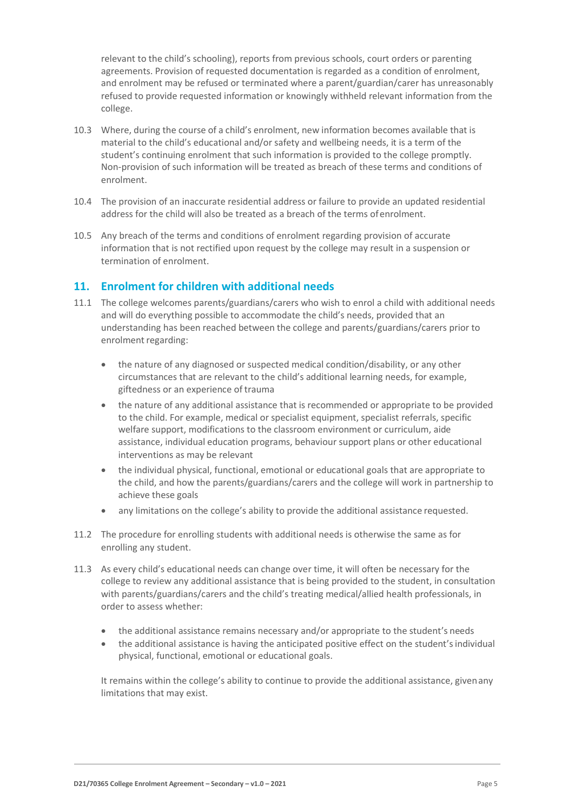relevant to the child's schooling), reports from previous schools, court orders or parenting agreements. Provision of requested documentation is regarded as a condition of enrolment, and enrolment may be refused or terminated where a parent/guardian/carer has unreasonably refused to provide requested information or knowingly withheld relevant information from the college.

- 10.3 Where, during the course of a child's enrolment, new information becomes available that is material to the child's educational and/or safety and wellbeing needs, it is a term of the student's continuing enrolment that such information is provided to the college promptly. Non-provision of such information will be treated as breach of these terms and conditions of enrolment.
- 10.4 The provision of an inaccurate residential address or failure to provide an updated residential address for the child will also be treated as a breach of the terms ofenrolment.
- 10.5 Any breach of the terms and conditions of enrolment regarding provision of accurate information that is not rectified upon request by the college may result in a suspension or termination of enrolment.

#### **11. Enrolment for children with additional needs**

- 11.1 The college welcomes parents/guardians/carers who wish to enrol a child with additional needs and will do everything possible to accommodate the child's needs, provided that an understanding has been reached between the college and parents/guardians/carers prior to enrolment regarding:
	- the nature of any diagnosed or suspected medical condition/disability, or any other circumstances that are relevant to the child's additional learning needs, for example, giftedness or an experience of trauma
	- the nature of any additional assistance that is recommended or appropriate to be provided to the child. For example, medical or specialist equipment, specialist referrals, specific welfare support, modifications to the classroom environment or curriculum, aide assistance, individual education programs, behaviour support plans or other educational interventions as may be relevant
	- the individual physical, functional, emotional or educational goals that are appropriate to the child, and how the parents/guardians/carers and the college will work in partnership to achieve these goals
	- any limitations on the college's ability to provide the additional assistance requested.
- 11.2 The procedure for enrolling students with additional needs is otherwise the same as for enrolling any student.
- 11.3 As every child's educational needs can change over time, it will often be necessary for the college to review any additional assistance that is being provided to the student, in consultation with parents/guardians/carers and the child's treating medical/allied health professionals, in order to assess whether:
	- the additional assistance remains necessary and/or appropriate to the student's needs
	- the additional assistance is having the anticipated positive effect on the student's individual physical, functional, emotional or educational goals.

It remains within the college's ability to continue to provide the additional assistance, givenany limitations that may exist.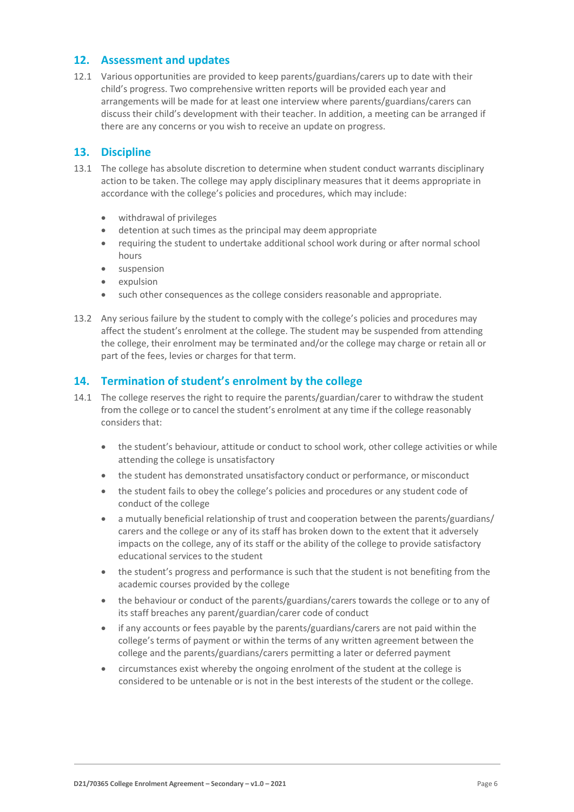### **12. Assessment and updates**

12.1 Various opportunities are provided to keep parents/guardians/carers up to date with their child's progress. Two comprehensive written reports will be provided each year and arrangements will be made for at least one interview where parents/guardians/carers can discuss their child's development with their teacher. In addition, a meeting can be arranged if there are any concerns or you wish to receive an update on progress.

#### **13. Discipline**

- 13.1 The college has absolute discretion to determine when student conduct warrants disciplinary action to be taken. The college may apply disciplinary measures that it deems appropriate in accordance with the college's policies and procedures, which may include:
	- withdrawal of privileges
	- detention at such times as the principal may deem appropriate
	- requiring the student to undertake additional school work during or after normal school hours
	- suspension
	- expulsion
	- such other consequences as the college considers reasonable and appropriate.
- 13.2 Any serious failure by the student to comply with the college's policies and procedures may affect the student's enrolment at the college. The student may be suspended from attending the college, their enrolment may be terminated and/or the college may charge or retain all or part of the fees, levies or charges for that term.

# **14. Termination of student's enrolment by the college**

- 14.1 The college reserves the right to require the parents/guardian/carer to withdraw the student from the college or to cancel the student's enrolment at any time if the college reasonably considers that:
	- the student's behaviour, attitude or conduct to school work, other college activities or while attending the college is unsatisfactory
	- the student has demonstrated unsatisfactory conduct or performance, or misconduct
	- the student fails to obey the college's policies and procedures or any student code of conduct of the college
	- a mutually beneficial relationship of trust and cooperation between the parents/guardians/ carers and the college or any of its staff has broken down to the extent that it adversely impacts on the college, any of its staff or the ability of the college to provide satisfactory educational services to the student
	- the student's progress and performance is such that the student is not benefiting from the academic courses provided by the college
	- the behaviour or conduct of the parents/guardians/carers towards the college or to any of its staff breaches any parent/guardian/carer code of conduct
	- if any accounts or fees payable by the parents/guardians/carers are not paid within the college's terms of payment or within the terms of any written agreement between the college and the parents/guardians/carers permitting a later or deferred payment
	- circumstances exist whereby the ongoing enrolment of the student at the college is considered to be untenable or is not in the best interests of the student or the college.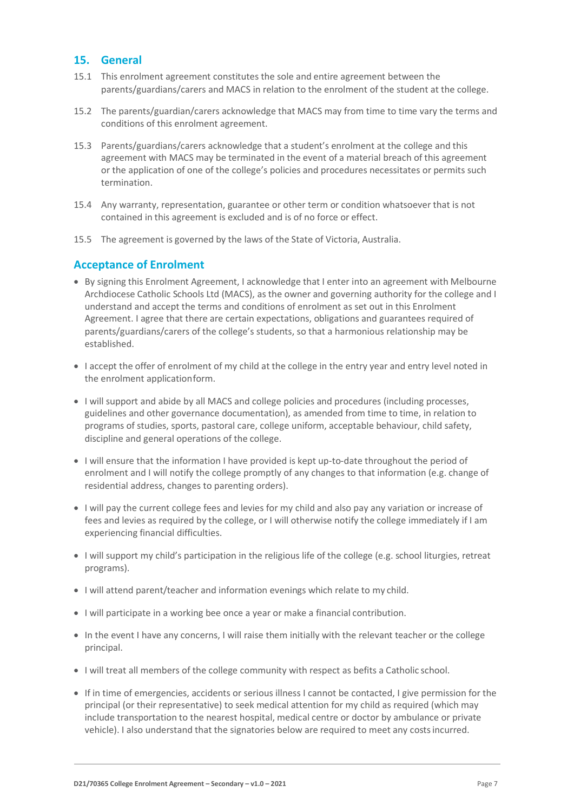#### **15. General**

- 15.1 This enrolment agreement constitutes the sole and entire agreement between the parents/guardians/carers and MACS in relation to the enrolment of the student at the college.
- 15.2 The parents/guardian/carers acknowledge that MACS may from time to time vary the terms and conditions of this enrolment agreement.
- 15.3 Parents/guardians/carers acknowledge that a student's enrolment at the college and this agreement with MACS may be terminated in the event of a material breach of this agreement or the application of one of the college's policies and procedures necessitates or permits such termination.
- 15.4 Any warranty, representation, guarantee or other term or condition whatsoever that is not contained in this agreement is excluded and is of no force or effect.
- 15.5 The agreement is governed by the laws of the State of Victoria, Australia.

# **Acceptance of Enrolment**

- By signing this Enrolment Agreement, I acknowledge that I enter into an agreement with Melbourne Archdiocese Catholic Schools Ltd (MACS), as the owner and governing authority for the college and I understand and accept the terms and conditions of enrolment as set out in this Enrolment Agreement. I agree that there are certain expectations, obligations and guarantees required of parents/guardians/carers of the college's students, so that a harmonious relationship may be established.
- I accept the offer of enrolment of my child at the college in the entry year and entry level noted in the enrolment applicationform.
- I will support and abide by all MACS and college policies and procedures (including processes, guidelines and other governance documentation), as amended from time to time, in relation to programs of studies, sports, pastoral care, college uniform, acceptable behaviour, child safety, discipline and general operations of the college.
- I will ensure that the information I have provided is kept up-to-date throughout the period of enrolment and I will notify the college promptly of any changes to that information (e.g. change of residential address, changes to parenting orders).
- I will pay the current college fees and levies for my child and also pay any variation or increase of fees and levies as required by the college, or I will otherwise notify the college immediately if I am experiencing financial difficulties.
- I will support my child's participation in the religious life of the college (e.g. school liturgies, retreat programs).
- I will attend parent/teacher and information evenings which relate to my child.
- I will participate in a working bee once a year or make a financial contribution.
- In the event I have any concerns, I will raise them initially with the relevant teacher or the college principal.
- I will treat all members of the college community with respect as befits a Catholic school.
- If in time of emergencies, accidents or serious illness I cannot be contacted, I give permission for the principal (or their representative) to seek medical attention for my child as required (which may include transportation to the nearest hospital, medical centre or doctor by ambulance or private vehicle). I also understand that the signatories below are required to meet any costsincurred.